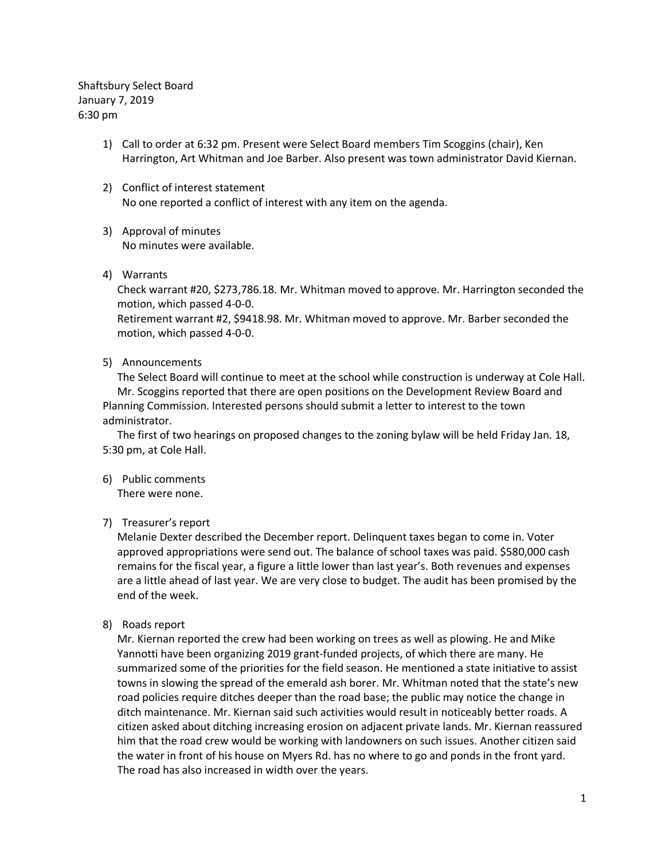Shaftsbury Select Board January 7, 2019 6:30 pm

- 1) Call to order at 6:32 pm. Present were Select Board members Tim Scoggins (chair), Ken Harrington, Art Whitman and Joe Barber. Also present was town administrator David Kiernan.
- 2) Conflict of interest statement No one reported a conflict of interest with any item on the agenda.
- 3) Approval of minutes No minutes were available.
- 4) Warrants

Check warrant #20, \$273,786.18. Mr. Whitman moved to approve. Mr. Harrington seconded the motion, which passed 4-0-0.

Retirement warrant #2, \$9418.98. Mr. Whitman moved to approve. Mr. Barber seconded the motion, which passed 4-0-0.

5) Announcements

The Select Board will continue to meet at the school while construction is underway at Cole Hall. Mr. Scoggins reported that there are open positions on the Development Review Board and Planning Commission. Interested persons should submit a letter to interest to the town administrator.

The first of two hearings on proposed changes to the zoning bylaw will be held Friday Jan. 18, 5:30 pm, at Cole Hall.

6) Public comments

There were none.

### 7) Treasurer's report

Melanie Dexter described the December report. Delinquent taxes began to come in. Voter approved appropriations were send out. The balance of school taxes was paid. \$580,000 cash remains for the fiscal year, a figure a little lower than last year's. Both revenues and expenses are a little ahead of last year. We are very close to budget. The audit has been promised by the end of the week.

8) Roads report

Mr. Kiernan reported the crew had been working on trees as well as plowing. He and Mike Yannotti have been organizing 2019 grant-funded projects, of which there are many. He summarized some of the priorities for the field season. He mentioned a state initiative to assist towns in slowing the spread of the emerald ash borer. Mr. Whitman noted that the state's new road policies require ditches deeper than the road base; the public may notice the change in ditch maintenance. Mr. Kiernan said such activities would result in noticeably better roads. A citizen asked about ditching increasing erosion on adjacent private lands. Mr. Kiernan reassured him that the road crew would be working with landowners on such issues. Another citizen said the water in front of his house on Myers Rd. has no where to go and ponds in the front yard. The road has also increased in width over the years.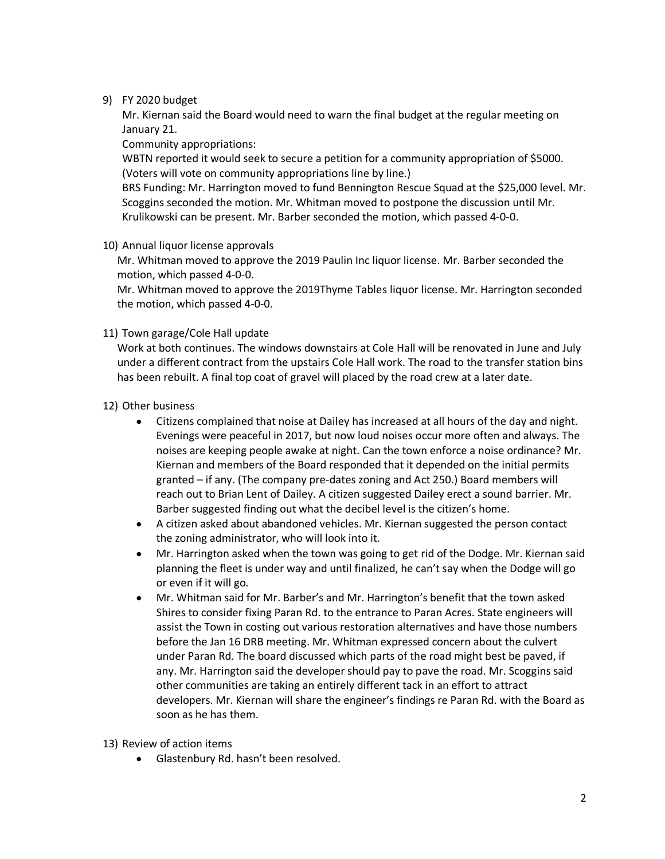## 9) FY 2020 budget

Mr. Kiernan said the Board would need to warn the final budget at the regular meeting on January 21.

Community appropriations:

WBTN reported it would seek to secure a petition for a community appropriation of \$5000. (Voters will vote on community appropriations line by line.)

BRS Funding: Mr. Harrington moved to fund Bennington Rescue Squad at the \$25,000 level. Mr. Scoggins seconded the motion. Mr. Whitman moved to postpone the discussion until Mr. Krulikowski can be present. Mr. Barber seconded the motion, which passed 4-0-0.

10) Annual liquor license approvals

Mr. Whitman moved to approve the 2019 Paulin Inc liquor license. Mr. Barber seconded the motion, which passed 4-0-0.

Mr. Whitman moved to approve the 2019Thyme Tables liquor license. Mr. Harrington seconded the motion, which passed 4-0-0.

# 11) Town garage/Cole Hall update

Work at both continues. The windows downstairs at Cole Hall will be renovated in June and July under a different contract from the upstairs Cole Hall work. The road to the transfer station bins has been rebuilt. A final top coat of gravel will placed by the road crew at a later date.

# 12) Other business

- Citizens complained that noise at Dailey has increased at all hours of the day and night. Evenings were peaceful in 2017, but now loud noises occur more often and always. The noises are keeping people awake at night. Can the town enforce a noise ordinance? Mr. Kiernan and members of the Board responded that it depended on the initial permits granted – if any. (The company pre-dates zoning and Act 250.) Board members will reach out to Brian Lent of Dailey. A citizen suggested Dailey erect a sound barrier. Mr. Barber suggested finding out what the decibel level is the citizen's home.
- A citizen asked about abandoned vehicles. Mr. Kiernan suggested the person contact the zoning administrator, who will look into it.
- Mr. Harrington asked when the town was going to get rid of the Dodge. Mr. Kiernan said planning the fleet is under way and until finalized, he can't say when the Dodge will go or even if it will go.
- Mr. Whitman said for Mr. Barber's and Mr. Harrington's benefit that the town asked Shires to consider fixing Paran Rd. to the entrance to Paran Acres. State engineers will assist the Town in costing out various restoration alternatives and have those numbers before the Jan 16 DRB meeting. Mr. Whitman expressed concern about the culvert under Paran Rd. The board discussed which parts of the road might best be paved, if any. Mr. Harrington said the developer should pay to pave the road. Mr. Scoggins said other communities are taking an entirely different tack in an effort to attract developers. Mr. Kiernan will share the engineer's findings re Paran Rd. with the Board as soon as he has them.
- 13) Review of action items
	- Glastenbury Rd. hasn't been resolved.